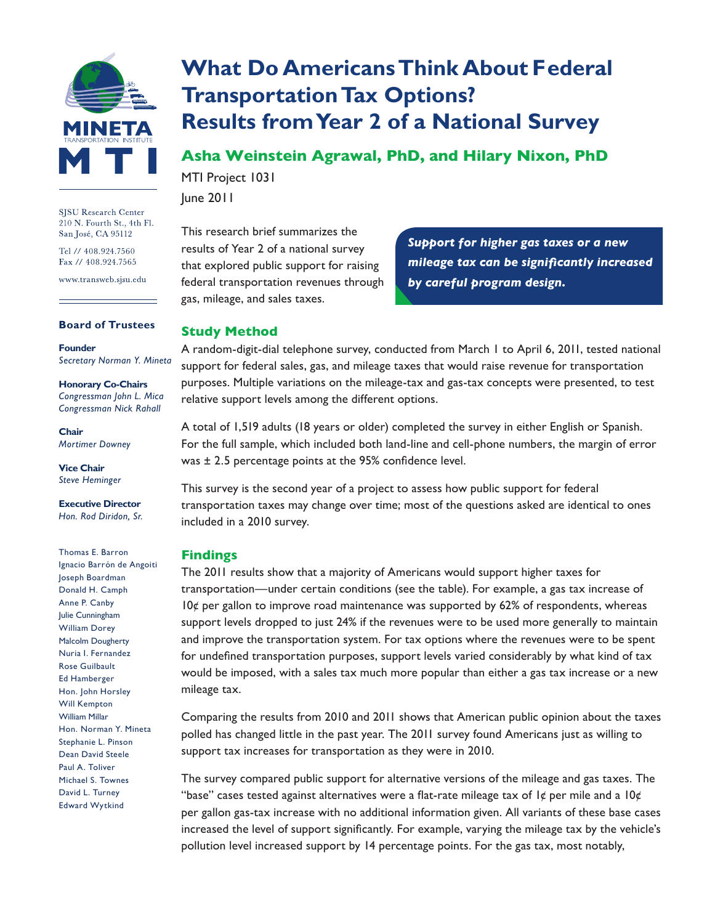

SJSU Research Center 210 N. Fourth St., 4th Fl. San José, CA 95112

Tel // 408.924.7560 Fax // 408.924.7565

www.transweb.sjsu.edu

#### **Board of Trustees**

**Founder** *Secretary Norman Y. Mineta*

**Honorary Co-Chairs** *Congressman John L. Mica Congressman Nick Rahall*

**Chair** *Mortimer Downey*

**Vice Chair** *Steve Heminger*

**Executive Director** *Hon. Rod Diridon, Sr.*

Thomas E. Barron Ignacio Barrón de Angoiti Joseph Boardman Donald H. Camph Anne P. Canby Julie Cunningham William Dorey Malcolm Dougherty Nuria I. Fernandez Rose Guilbault Ed Hamberger Hon. John Horsley Will Kempton William Millar Hon. Norman Y. Mineta Stephanie L. Pinson Dean David Steele Paul A. Toliver Michael S. Townes David L. Turney Edward Wytkind

# **What Do Americans Think About Federal Transportation Tax Options? Results from Year 2 of a National Survey**

**Asha Weinstein Agrawal, PhD, and Hilary Nixon, PhD**

MTI Project 1031 June 2011

This research brief summarizes the results of Year 2 of a national survey that explored public support for raising federal transportation revenues through gas, mileage, and sales taxes.

*Support for higher gas taxes or a new mileage tax can be significantly increased by careful program design.*

## **Study Method**

A random-digit-dial telephone survey, conducted from March 1 to April 6, 2011, tested national support for federal sales, gas, and mileage taxes that would raise revenue for transportation purposes. Multiple variations on the mileage-tax and gas-tax concepts were presented, to test relative support levels among the different options.

A total of 1,519 adults (18 years or older) completed the survey in either English or Spanish. For the full sample, which included both land-line and cell-phone numbers, the margin of error was ± 2.5 percentage points at the 95% confidence level.

This survey is the second year of a project to assess how public support for federal transportation taxes may change over time; most of the questions asked are identical to ones included in a 2010 survey.

## **Findings**

The 2011 results show that a majority of Americans would support higher taxes for transportation—under certain conditions (see the table). For example, a gas tax increase of  $10¢$  per gallon to improve road maintenance was supported by 62% of respondents, whereas support levels dropped to just 24% if the revenues were to be used more generally to maintain and improve the transportation system. For tax options where the revenues were to be spent for undefined transportation purposes, support levels varied considerably by what kind of tax would be imposed, with a sales tax much more popular than either a gas tax increase or a new mileage tax.

Comparing the results from 2010 and 2011 shows that American public opinion about the taxes polled has changed little in the past year. The 2011 survey found Americans just as willing to support tax increases for transportation as they were in 2010.

The survey compared public support for alternative versions of the mileage and gas taxes. The "base" cases tested against alternatives were a flat-rate mileage tax of  $1¢$  per mile and a  $10¢$ per gallon gas-tax increase with no additional information given. All variants of these base cases increased the level of support significantly. For example, varying the mileage tax by the vehicle's pollution level increased support by 14 percentage points. For the gas tax, most notably,